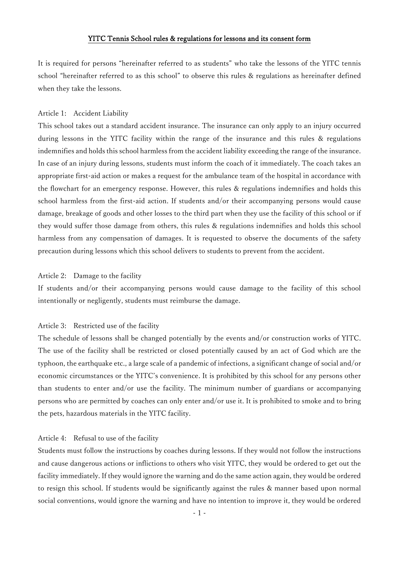## YITC Tennis School rules & regulations for lessons and its consent form

It is required for persons "hereinafter referred to as students" who take the lessons of the YITC tennis school "hereinafter referred to as this school" to observe this rules & regulations as hereinafter defined when they take the lessons.

### Article 1: Accident Liability

This school takes out a standard accident insurance. The insurance can only apply to an injury occurred during lessons in the YITC facility within the range of the insurance and this rules & regulations indemnifies and holds this school harmless from the accident liability exceeding the range of the insurance. In case of an injury during lessons, students must inform the coach of it immediately. The coach takes an appropriate first-aid action or makes a request for the ambulance team of the hospital in accordance with the flowchart for an emergency response. However, this rules & regulations indemnifies and holds this school harmless from the first-aid action. If students and/or their accompanying persons would cause damage, breakage of goods and other losses to the third part when they use the facility of this school or if they would suffer those damage from others, this rules & regulations indemnifies and holds this school harmless from any compensation of damages. It is requested to observe the documents of the safety precaution during lessons which this school delivers to students to prevent from the accident.

### Article 2: Damage to the facility

If students and/or their accompanying persons would cause damage to the facility of this school intentionally or negligently, students must reimburse the damage.

### Article 3: Restricted use of the facility

The schedule of lessons shall be changed potentially by the events and/or construction works of YITC. The use of the facility shall be restricted or closed potentially caused by an act of God which are the typhoon, the earthquake etc., a large scale of a pandemic of infections, a significant change of social and/or economic circumstances or the YITC's convenience. It is prohibited by this school for any persons other than students to enter and/or use the facility. The minimum number of guardians or accompanying persons who are permitted by coaches can only enter and/or use it. It is prohibited to smoke and to bring the pets, hazardous materials in the YITC facility.

### Article 4: Refusal to use of the facility

Students must follow the instructions by coaches during lessons. If they would not follow the instructions and cause dangerous actions or inflictions to others who visit YITC, they would be ordered to get out the facility immediately. If they would ignore the warning and do the same action again, they would be ordered to resign this school. If students would be significantly against the rules & manner based upon normal social conventions, would ignore the warning and have no intention to improve it, they would be ordered